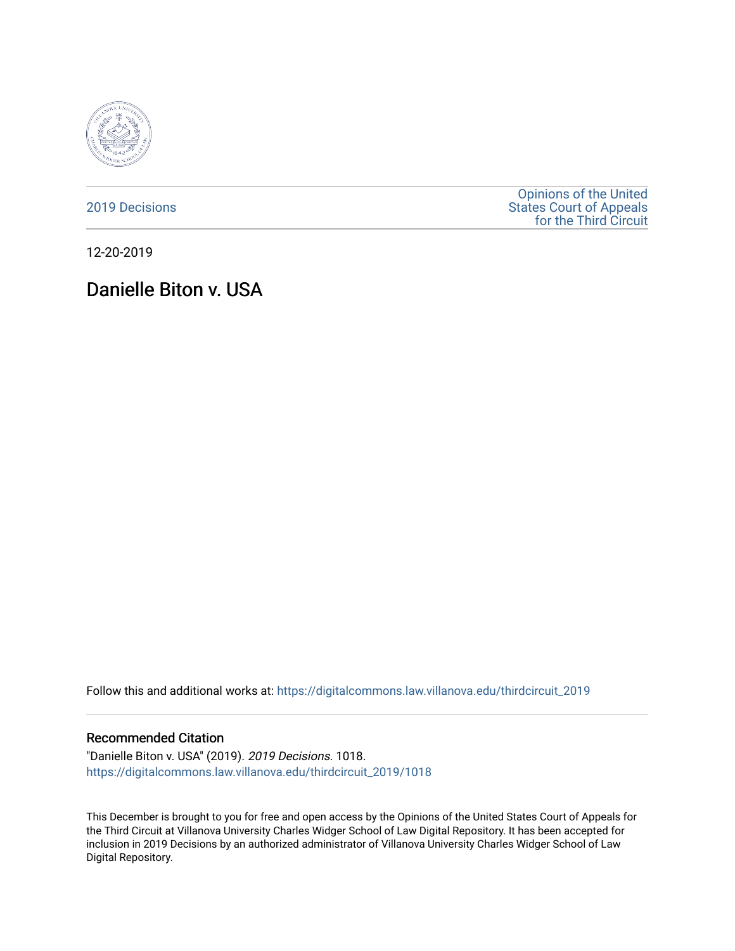

[2019 Decisions](https://digitalcommons.law.villanova.edu/thirdcircuit_2019)

[Opinions of the United](https://digitalcommons.law.villanova.edu/thirdcircuit)  [States Court of Appeals](https://digitalcommons.law.villanova.edu/thirdcircuit)  [for the Third Circuit](https://digitalcommons.law.villanova.edu/thirdcircuit) 

12-20-2019

# Danielle Biton v. USA

Follow this and additional works at: [https://digitalcommons.law.villanova.edu/thirdcircuit\\_2019](https://digitalcommons.law.villanova.edu/thirdcircuit_2019?utm_source=digitalcommons.law.villanova.edu%2Fthirdcircuit_2019%2F1018&utm_medium=PDF&utm_campaign=PDFCoverPages) 

#### Recommended Citation

"Danielle Biton v. USA" (2019). 2019 Decisions. 1018. [https://digitalcommons.law.villanova.edu/thirdcircuit\\_2019/1018](https://digitalcommons.law.villanova.edu/thirdcircuit_2019/1018?utm_source=digitalcommons.law.villanova.edu%2Fthirdcircuit_2019%2F1018&utm_medium=PDF&utm_campaign=PDFCoverPages) 

This December is brought to you for free and open access by the Opinions of the United States Court of Appeals for the Third Circuit at Villanova University Charles Widger School of Law Digital Repository. It has been accepted for inclusion in 2019 Decisions by an authorized administrator of Villanova University Charles Widger School of Law Digital Repository.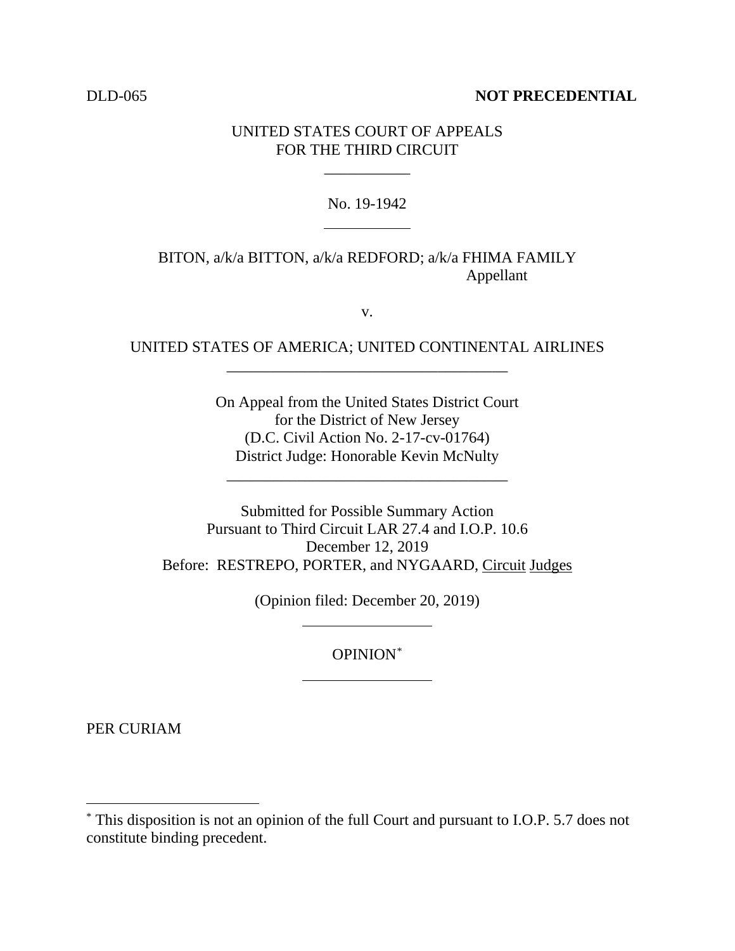#### DLD-065 **NOT PRECEDENTIAL**

### UNITED STATES COURT OF APPEALS FOR THE THIRD CIRCUIT

\_\_\_\_\_\_\_\_\_\_\_

#### No. 19-1942

## BITON, a/k/a BITTON, a/k/a REDFORD; a/k/a FHIMA FAMILY Appellant

v.

# UNITED STATES OF AMERICA; UNITED CONTINENTAL AIRLINES \_\_\_\_\_\_\_\_\_\_\_\_\_\_\_\_\_\_\_\_\_\_\_\_\_\_\_\_\_\_\_\_\_\_\_\_

On Appeal from the United States District Court for the District of New Jersey (D.C. Civil Action No. 2-17-cv-01764) District Judge: Honorable Kevin McNulty

\_\_\_\_\_\_\_\_\_\_\_\_\_\_\_\_\_\_\_\_\_\_\_\_\_\_\_\_\_\_\_\_\_\_\_\_

Submitted for Possible Summary Action Pursuant to Third Circuit LAR 27.4 and I.O.P. 10.6 December 12, 2019 Before: RESTREPO, PORTER, and NYGAARD, Circuit Judges

(Opinion filed: December 20, 2019)

OPINION\*

PER CURIAM

 <sup>\*</sup> This disposition is not an opinion of the full Court and pursuant to I.O.P. 5.7 does not constitute binding precedent.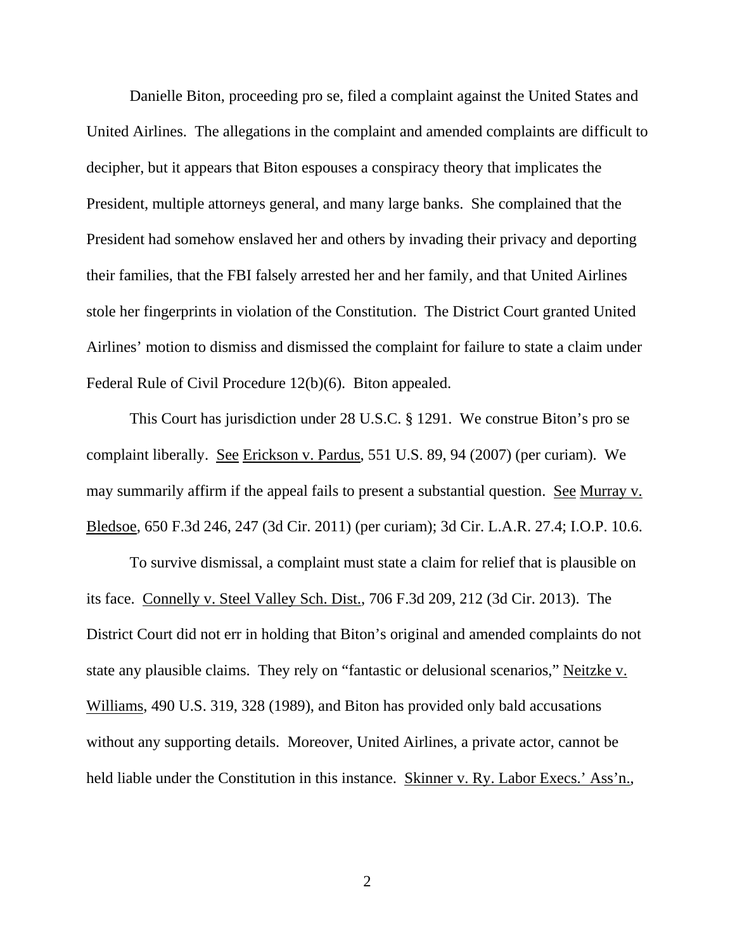Danielle Biton, proceeding pro se, filed a complaint against the United States and United Airlines. The allegations in the complaint and amended complaints are difficult to decipher, but it appears that Biton espouses a conspiracy theory that implicates the President, multiple attorneys general, and many large banks. She complained that the President had somehow enslaved her and others by invading their privacy and deporting their families, that the FBI falsely arrested her and her family, and that United Airlines stole her fingerprints in violation of the Constitution. The District Court granted United Airlines' motion to dismiss and dismissed the complaint for failure to state a claim under Federal Rule of Civil Procedure 12(b)(6). Biton appealed.

This Court has jurisdiction under 28 U.S.C. § 1291. We construe Biton's pro se complaint liberally. See Erickson v. Pardus, 551 U.S. 89, 94 (2007) (per curiam). We may summarily affirm if the appeal fails to present a substantial question. See Murray v. Bledsoe, 650 F.3d 246, 247 (3d Cir. 2011) (per curiam); 3d Cir. L.A.R. 27.4; I.O.P. 10.6.

To survive dismissal, a complaint must state a claim for relief that is plausible on its face. Connelly v. Steel Valley Sch. Dist., 706 F.3d 209, 212 (3d Cir. 2013). The District Court did not err in holding that Biton's original and amended complaints do not state any plausible claims. They rely on "fantastic or delusional scenarios," Neitzke v. Williams, 490 U.S. 319, 328 (1989), and Biton has provided only bald accusations without any supporting details. Moreover, United Airlines, a private actor, cannot be held liable under the Constitution in this instance. Skinner v. Ry. Labor Execs.' Ass'n.,

2